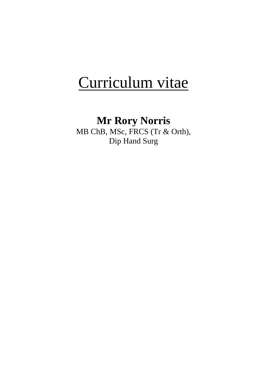# Curriculum vitae

# **Mr Rory Norris**

MB ChB, MSc, FRCS (Tr & Orth), Dip Hand Surg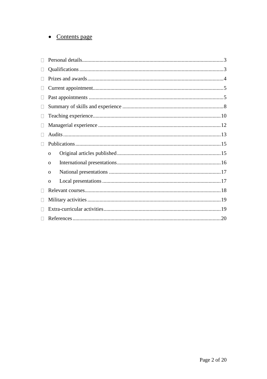# • Contents page

| $\mathbf{L}$      |              |  |  |
|-------------------|--------------|--|--|
|                   |              |  |  |
| $\vert \ \ \vert$ |              |  |  |
|                   |              |  |  |
|                   |              |  |  |
|                   |              |  |  |
|                   |              |  |  |
|                   |              |  |  |
|                   |              |  |  |
|                   | $\mathbf{O}$ |  |  |
|                   | $\Omega$     |  |  |
|                   | $\Omega$     |  |  |
|                   | $\mathbf{O}$ |  |  |
|                   |              |  |  |
|                   |              |  |  |
|                   |              |  |  |
|                   |              |  |  |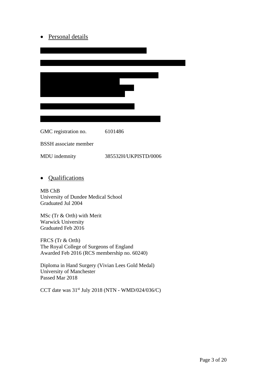# • Personal details

| GMC registration no.         | 6101486              |
|------------------------------|----------------------|
| <b>BSSH</b> associate member |                      |
| MDU indemnity                | 385532H/UKPISTD/0006 |

• Qualifications

MB ChB University of Dundee Medical School Graduated Jul 2004

MSc (Tr & Orth) with Merit Warwick University Graduated Feb 2016

FRCS (Tr & Orth) The Royal College of Surgeons of England Awarded Feb 2016 (RCS membership no. 60240)

Diploma in Hand Surgery (Vivian Lees Gold Medal) University of Manchester Passed Mar 2018

CCT date was 31st July 2018 (NTN - WMD/024/036/C)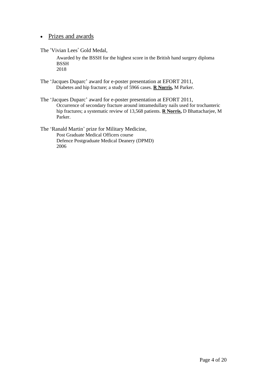#### • Prizes and awards

The 'Vivian Lees' Gold Medal,

Awarded by the BSSH for the highest score in the British hand surgery diploma **BSSH** 2018

The 'Jacques Duparc' award for e-poster presentation at EFORT 2011, Diabetes and hip fracture; a study of 5966 cases. **R Norris,** M Parker.

The 'Jacques Duparc' award for e-poster presentation at EFORT 2011, Occurrence of secondary fracture around intramedullary nails used for trochanteric hip fractures; a systematic review of 13,568 patients. **R Norris,** D Bhattacharjee, M Parker.

The 'Ranald Martin' prize for Military Medicine, Post Graduate Medical Officers course Defence Postgraduate Medical Deanery (DPMD) 2006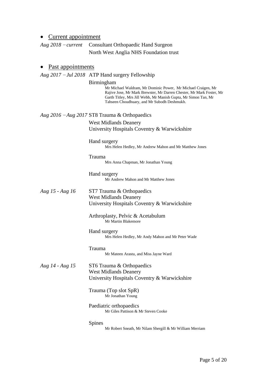#### • Current appointment

*Aug 2018* – *current* Consultant Orthopaedic Hand Surgeon North West Anglia NHS Foundation trust

#### • Past appointments

*Aug 2017* – *Jul 2018* ATP Hand surgery Fellowship

#### Birmingham

Mr Michael Waldram, Mr Dominic Power, Mr Michael Craigen, Mr Rajive Jose, Mr Mark Brewster, Mr Darren Chester, Mr Mark Foster, Mr Garth Titley, Mrs Jill Webb, Mr Manish Gupta, Mr Simon Tan, Mr Tahseen Choudhuary, and Mr Subodh Deshmukh.

#### *Aug 2016* – *Aug 2017* ST8 Trauma & Orthopaedics

West Midlands Deanery University Hospitals Coventry & Warwickshire

Hand surgery Mrs Helen Hedley, Mr Andrew Mahon and Mr Matthew Jones

# Trauma

Mrs Anna Chapman, Mr Jonathan Young

Hand surgery Mr Andrew Mahon and Mr Matthew Jones

#### *Aug 15 - Aug 16* ST7 Trauma & Orthopaedics West Midlands Deanery University Hospitals Coventry & Warwickshire

Arthroplasty, Pelvic & Acetabulum Mr Martin Blakemore

Hand surgery Mrs Helen Hedley, Mr Andy Mahon and Mr Peter Wade

Trauma Mr Mateen Arastu, and Miss Jayne Ward

*Aug 14 - Aug 15* ST6 Trauma & Orthopaedics West Midlands Deanery University Hospitals Coventry & Warwickshire

> Trauma (Top slot SpR) Mr Jonathan Young

Paediatric orthopaedics Mr Giles Pattison & Mr Steven Cooke

Spines

Mr Robert Sneath, Mr Nilam Shergill & Mr William Merriam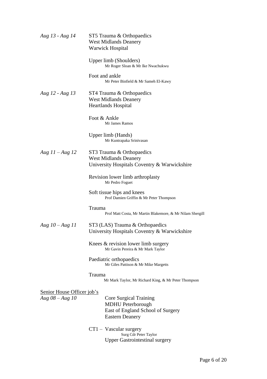| Aug 13 - Aug 14                                 | ST5 Trauma & Orthopaedics<br><b>West Midlands Deanery</b><br><b>Warwick Hospital</b>                              |
|-------------------------------------------------|-------------------------------------------------------------------------------------------------------------------|
|                                                 | Upper limb (Shoulders)<br>Mr Roger Sloan & Mr Ike Nwachukwu                                                       |
|                                                 | Foot and ankle<br>Mr Peter Binfield & Mr Sameh El-Kawy                                                            |
| Aug 12 - Aug 13                                 | ST4 Trauma & Orthopaedics<br><b>West Midlands Deanery</b><br>Heartlands Hospital                                  |
|                                                 | Foot & Ankle<br>Mr James Ramos                                                                                    |
|                                                 | Upper limb (Hands)<br>Mr Kuntrapaka Srinivasan                                                                    |
| Aug $11 - Aug 12$                               | ST3 Trauma & Orthopaedics<br><b>West Midlands Deanery</b><br>University Hospitals Coventry & Warwickshire         |
|                                                 | Revision lower limb arthroplasty<br>Mr Pedro Foguet                                                               |
|                                                 | Soft tissue hips and knees<br>Prof Damien Griffin & Mr Peter Thompson                                             |
|                                                 | Trauma<br>Prof Matt Costa, Mr Martin Blakemore, & Mr Nilam Shergill                                               |
| Aug $10 - Aug 11$                               | ST3 (LAS) Trauma & Orthopaedics<br>University Hospitals Coventry & Warwickshire                                   |
|                                                 | Knees & revision lower limb surgery<br>Mr Gavin Pereira & Mr Mark Taylor                                          |
|                                                 | Paediatric orthopaedics<br>Mr Giles Pattison & Mr Mike Margetts                                                   |
|                                                 | Trauma<br>Mr Mark Taylor, Mr Richard King, & Mr Peter Thompson                                                    |
| Senior House Officer job's<br>Aug $08 - Aug 10$ | Core Surgical Training<br><b>MDHU</b> Peterborough<br>East of England School of Surgery<br><b>Eastern Deanery</b> |
|                                                 | $CT1 - Vascular surgery$<br>Surg Cdr Peter Taylor<br><b>Upper Gastrointestinal surgery</b>                        |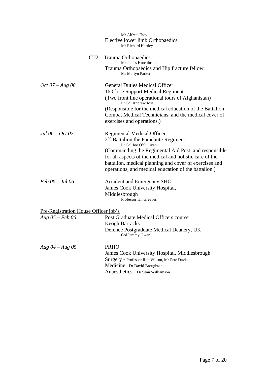|                                                           | Mr Alfred Choy<br>Elective lower limb Orthopaedics<br>Mr Richard Hartley                                                                                                                                                                                                                                                                  |
|-----------------------------------------------------------|-------------------------------------------------------------------------------------------------------------------------------------------------------------------------------------------------------------------------------------------------------------------------------------------------------------------------------------------|
|                                                           | CT2 – Trauma Orthopaedics<br>Mr James Hutchinson<br>Trauma Orthopaedics and Hip fracture fellow<br>Mr Martyn Parker                                                                                                                                                                                                                       |
| $Oct 07 - Aug 08$                                         | <b>General Duties Medical Officer</b><br>16 Close Support Medical Regiment<br>(Two front line operational tours of Afghanistan)<br>Lt Col Andrew Jose<br>(Responsible for the medical education of the Battalion<br>Combat Medical Technicians, and the medical cover of<br>exercises and operations.)                                    |
| Jul $06 - Oct 07$                                         | <b>Regimental Medical Officer</b><br>$2nd$ Battalion the Parachute Regiment<br>Lt Col Joe O'Sullivan<br>(Commanding the Regimental Aid Post, and responsible<br>for all aspects of the medical and holistic care of the<br>battalion, medical planning and cover of exercises and<br>operations, and medical education of the battalion.) |
| $Feb 06 - Jul 06$                                         | <b>Accident and Emergency SHO</b><br>James Cook University Hospital,<br>Middlesbrough<br>Professor Ian Greaves                                                                                                                                                                                                                            |
| Pre-Registration House Officer job's<br>Aug $05 - Feb 06$ | Post Graduate Medical Officers course<br><b>Keogh Barracks</b><br>Defence Postgraduate Medical Deanery, UK<br>Col Jeremy Owen                                                                                                                                                                                                             |
| Aug $04 - Aug\ 05$                                        | <b>PRHO</b><br>James Cook University Hospital, Middlesbrough<br>Surgery - Professor Rob Wilson, Mr Pete Davis<br>Medicine - Dr David Broughton<br>Anaesthetics - Dr Sean Williamson                                                                                                                                                       |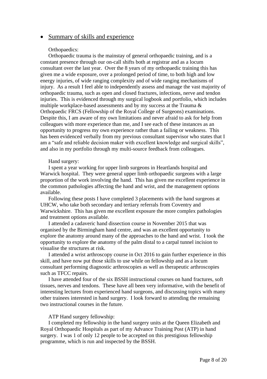#### • Summary of skills and experience

#### Orthopaedics:

Orthopaedic trauma is the mainstay of general orthopaedic training, and is a constant presence through our on-call shifts both at registrar and as a locum consultant over the last year. Over the 8 years of my orthopaedic training this has given me a wide exposure, over a prolonged period of time, to both high and low energy injuries, of wide ranging complexity and of wide ranging mechanisms of injury. As a result I feel able to independently assess and manage the vast majority of orthopaedic trauma, such as open and closed fractures, infections, nerve and tendon injuries. This is evidenced through my surgical logbook and portfolio, which includes multiple workplace-based assessments and by my success at the Trauma & Orthopaedic FRCS (Fellowship of the Royal College of Surgeons) examinations. Despite this, I am aware of my own limitations and never afraid to ask for help from colleagues with more experience than me, and I see each of these instances as an opportunity to progress my own experience rather than a failing or weakness. This has been evidenced verbally from my previous consultant supervisor who states that I am a "safe and reliable decision maker with excellent knowledge and surgical skills", and also in my portfolio through my multi-source feedback from colleagues.

#### Hand surgery:

I spent a year working for upper limb surgeons in Heartlands hospital and Warwick hospital. They were general upper limb orthopaedic surgeons with a large proportion of the work involving the hand. This has given me excellent experience in the common pathologies affecting the hand and wrist, and the management options available.

Following these posts I have completed 3 placements with the hand surgeons at UHCW, who take both secondary and tertiary referrals from Coventry and Warwickshire. This has given me excellent exposure the more complex pathologies and treatment options available.

I attended a cadaveric hand dissection course in November 2015 that was organised by the Birmingham hand centre, and was an excellent opportunity to explore the anatomy around many of the approaches to the hand and wrist. I took the opportunity to explore the anatomy of the palm distal to a carpal tunnel incision to visualise the structures at risk.

I attended a wrist arthroscopy course in Oct 2016 to gain further experience in this skill, and have now put those skills to use while on fellowship and as a locum consultant performing diagnostic arthroscopies as well as therapeutic arthroscopies such as TFCC repairs.

I have attended four of the six BSSH instructional courses on hand fractures, soft tissues, nerves and tendons. These have all been very informative, with the benefit of interesting lectures from experienced hand surgeons, and discussing topics with many other trainees interested in hand surgery. I look forward to attending the remaining two instructional courses in the future.

#### ATP Hand surgery fellowship:

I completed my fellowship in the hand surgery units at the Queen Elizabeth and Royal Orthopaedic Hospitals as part of my Advance Training Post (ATP) in hand surgery. I was 1 of only 12 people to be accepted on this prestigious fellowship programme, which is run and inspected by the BSSH.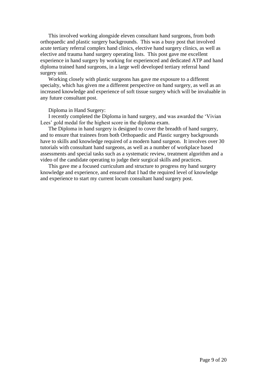This involved working alongside eleven consultant hand surgeons, from both orthopaedic and plastic surgery backgrounds. This was a busy post that involved acute tertiary referral complex hand clinics, elective hand surgery clinics, as well as elective and trauma hand surgery operating lists. This post gave me excellent experience in hand surgery by working for experienced and dedicated ATP and hand diploma trained hand surgeons, in a large well developed tertiary referral hand surgery unit.

Working closely with plastic surgeons has gave me exposure to a different specialty, which has given me a different perspective on hand surgery, as well as an increased knowledge and experience of soft tissue surgery which will be invaluable in any future consultant post.

#### Diploma in Hand Surgery:

I recently completed the Diploma in hand surgery, and was awarded the 'Vivian Lees' gold medal for the highest score in the diploma exam.

The Diploma in hand surgery is designed to cover the breadth of hand surgery, and to ensure that trainees from both Orthopaedic and Plastic surgery backgrounds have to skills and knowledge required of a modern hand surgeon. It involves over 30 tutorials with consultant hand surgeons, as well as a number of workplace based assessments and special tasks such as a systematic review, treatment algorithm and a video of the candidate operating to judge their surgical skills and practices.

This gave me a focused curriculum and structure to progress my hand surgery knowledge and experience, and ensured that I had the required level of knowledge and experience to start my current locum consultant hand surgery post.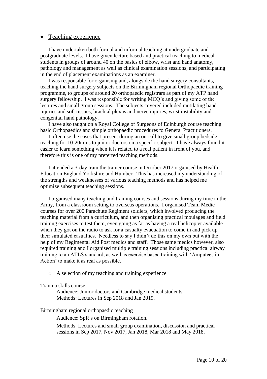#### • Teaching experience

I have undertaken both formal and informal teaching at undergraduate and postgraduate levels. I have given lecture based and practical teaching to medical students in groups of around 40 on the basics of elbow, wrist and hand anatomy, pathology and management as well as clinical examination sessions, and participating in the end of placement examinations as an examiner.

I was responsible for organising and, alongside the hand surgery consultants, teaching the hand surgery subjects on the Birmingham regional Orthopaedic training programme, to groups of around 20 orthopaedic registrars as part of my ATP hand surgery fellowship. I was responsible for writing MCQ's and giving some of the lectures and small group sessions. The subjects covered included mutilating hand injuries and soft tissues, brachial plexus and nerve injuries, wrist instability and congenital hand pathology.

I have also taught on a Royal College of Surgeons of Edinburgh course teaching basic Orthopaedics and simple orthopaedic procedures to General Practitioners.

I often use the cases that present during an on-call to give small group bedside teaching for 10-20mins to junior doctors on a specific subject. I have always found it easier to learn something when it is related to a real patient in front of you, and therefore this is one of my preferred teaching methods.

I attended a 3-day train the trainer course in October 2017 organised by Health Education England Yorkshire and Humber. This has increased my understanding of the strengths and weaknesses of various teaching methods and has helped me optimize subsequent teaching sessions.

I organised many teaching and training courses and sessions during my time in the Army, from a classroom setting to overseas operations. I organised Team Medic courses for over 200 Parachute Regiment soldiers, which involved producing the teaching material from a curriculum, and then organising practical moulages and field training exercises to test them, even going as far as having a real helicopter available when they got on the radio to ask for a casualty evacuation to come in and pick up their simulated casualties. Needless to say I didn't do this on my own but with the help of my Regimental Aid Post medics and staff. Those same medics however, also required training and I organised multiple training sessions including practical airway training to an ATLS standard, as well as exercise based training with 'Amputees in Action' to make it as real as possible.

#### o A selection of my teaching and training experience

#### Trauma skills course

Audience: Junior doctors and Cambridge medical students. Methods: Lectures in Sep 2018 and Jan 2019.

#### Birmingham regional orthopaedic teaching

Audience: SpR's on Birmingham rotation.

Methods: Lectures and small group examination, discussion and practical sessions in Sep 2017, Nov 2017, Jan 2018, Mar 2018 and May 2018.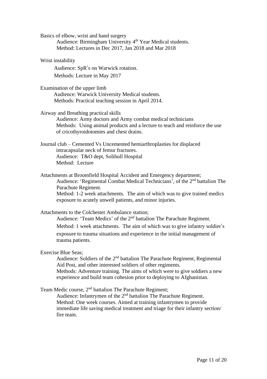Basics of elbow, wrist and hand surgery

Audience: Birmingham University 4<sup>th</sup> Year Medical students. Method: Lectures in Dec 2017, Jan 2018 and Mar 2018

Wrist instability

Audience: SpR's on Warwick rotation. Methods: Lecture in May 2017

Examination of the upper limb

 Audience: Warwick University Medical students. Methods: Practical teaching session in April 2014.

Airway and Breathing practical skills

Audience: Army doctors and Army combat medical technicians Methods: Using animal products and a lecture to teach and reinforce the use of cricothyroidotomies and chest drains.

Journal club – Cemented Vs Uncemented hemiarthroplasties for displaced intracapsular neck of femur fractures. Audience: T&O dept, Solihull Hospital Method: Lecture

exposure to acutely unwell patients, and minor injuries.

Attachments at Broomfield Hospital Accident and Emergency department; Audience: 'Regimental Combat Medical Technicians', of the 2nd battalion The Parachute Regiment. Method: 1-2 week attachments. The aim of which was to give trained medics

Attachments to the Colchester Ambulance station; Audience: 'Team Medics' of the 2<sup>nd</sup> battalion The Parachute Regiment. Method: 1 week attachments. The aim of which was to give infantry soldier's exposure to trauma situations and experience in the initial management of trauma patients.

Exercise Blue Seas;

Audience: Soldiers of the 2nd battalion The Parachute Regiment, Regimental Aid Post, and other interested soldiers of other regiments.

Methods: Adventure training. The aims of which were to give soldiers a new experience and build team cohesion prior to deploying to Afghanistan.

Team Medic course, 2nd battalion The Parachute Regiment;

Audience: Infantrymen of the 2<sup>nd</sup> battalion The Parachute Regiment. Method: One week courses. Aimed at training infantrymen to provide immediate life saving medical treatment and triage for their infantry section/ fire team.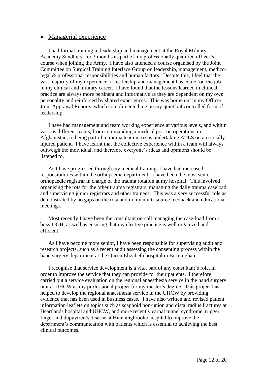#### • Managerial experience

I had formal training in leadership and management at the Royal Military Academy Sandhurst for 2 months as part of my professionally qualified officer's course when joining the Army. I have also attended a course organised by the Joint Committee on Surgical Training Interface Group on leadership, management, medicolegal & professional responsibilities and human factors. Despite this, I feel that the vast majority of my experience of leadership and management has come 'on the job' in my clinical and military career. I have found that the lessons learned in clinical practice are always more pertinent and informative as they are dependent on my own personality and reinforced by shared experiences. This was borne out in my Officer Joint Appraisal Reports, which complimented me on my quiet but controlled form of leadership.

I have had management and team working experience at various levels, and within various different teams, from commanding a medical post on operations in Afghanistan, to being part of a trauma team in resus undertaking ATLS on a critically injured patient. I have learnt that the collective experience within a team will always outweigh the individual, and therefore everyone's ideas and opinions should be listened to.

As I have progressed through my medical training, I have had increased responsibilities within the orthopaedic department. I have been the most senior orthopaedic registrar in charge of the trauma rotation at my hospital. This involved organising the rota for the other trauma registrars, managing the daily trauma caseload and supervising junior registrars and other trainees. This was a very successful role as demonstrated by no gaps on the rota and in my multi-source feedback and educational meetings.

Most recently I have been the consultant on-call managing the case-load from a busy DGH, as well as ensuring that my elective practice is well organized and efficient.

As I have become more senior, I have been responsible for supervising audit and research projects, such as a recent audit assessing the consenting process within the hand surgery department at the Queen Elizabeth hospital in Birmingham.

I recognise that service development is a vital part of any consultant's role, in order to improve the service that they can provide for their patients. I therefore carried out a service evaluation on the regional anaesthesia service in the hand surgery unit at UHCW as my professional project for my master's degree. This project has helped to develop the regional anaesthesia service in the UHCW by providing evidence that has been used in business cases. I have also written and revised patient information leaflets on topics such as scaphoid non-union and distal radius fractures at Heartlands hospital and UHCW, and more recently carpal tunnel syndrome, trigger finger and dupuytren's disease at Hinchingbrooke hospital to improve the department's communication with patients which is essential to achieving the best clinical outcomes.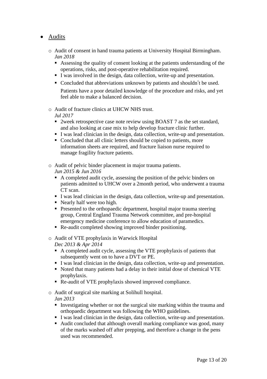# • Audits

- o Audit of consent in hand trauma patients at University Hospital Birmingham. *Jan 2018*
	- Assessing the quality of consent looking at the patients understanding of the operations, risks, and post-operative rehabilitation required.
	- I was involved in the design, data collection, write-up and presentation.
	- Concluded that abbreviations unknown by patients and shouldn't be used.

Patients have a poor detailed knowledge of the procedure and risks, and yet feel able to make a balanced decision.

o Audit of fracture clinics at UHCW NHS trust.

#### *Jul 2017*

- 2week retrospective case note review using BOAST 7 as the set standard, and also looking at case mix to help develop fracture clinic further.
- I was lead clinician in the design, data collection, write-up and presentation.
- Concluded that all clinic letters should be copied to patients, more information sheets are required, and fracture liaison nurse required to manage fragility fracture patients.
- o Audit of pelvic binder placement in major trauma patients. *Jun 2015 & Jun 2016*
	- A completed audit cycle, assessing the position of the pelvic binders on patients admitted to UHCW over a 2month period, who underwent a trauma CT scan.
	- I was lead clinician in the design, data collection, write-up and presentation.
	- Nearly half were too high.
	- **•** Presented to the orthopaedic department, hospital major trauma steering group, Central England Trauma Network committee, and pre-hospital emergency medicine conference to allow education of paramedics.
	- Re-audit completed showing improved binder positioning.
- o Audit of VTE prophylaxis in Warwick Hospital *Dec 2013 & Apr 2014*
	- A completed audit cycle, assessing the VTE prophylaxis of patients that subsequently went on to have a DVT or PE.
	- I was lead clinician in the design, data collection, write-up and presentation.
	- Noted that many patients had a delay in their initial dose of chemical VTE prophylaxis.
	- Re-audit of VTE prophylaxis showed improved compliance.
- o Audit of surgical site marking at Solihull hospital.

*Jan 2013*

- **I** Investigating whether or not the surgical site marking within the trauma and orthopaedic department was following the WHO guidelines.
- I was lead clinician in the design, data collection, write-up and presentation.
- Audit concluded that although overall marking compliance was good, many of the marks washed off after prepping, and therefore a change in the pens used was recommended.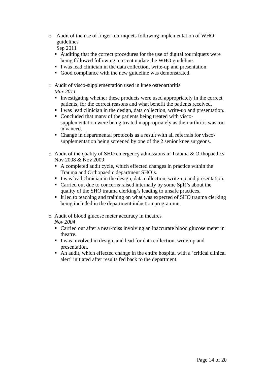o Audit of the use of finger tourniquets following implementation of WHO guidelines

Sep 2011

- Auditing that the correct procedures for the use of digital tourniquets were being followed following a recent update the WHO guideline.
- I was lead clinician in the data collection, write-up and presentation.
- Good compliance with the new guideline was demonstrated.
- o Audit of visco-supplementation used in knee osteoarthritis *Mar 2011*
	- Investigating whether these products were used appropriately in the correct patients, for the correct reasons and what benefit the patients received.
	- I was lead clinician in the design, data collection, write-up and presentation.
	- Concluded that many of the patients being treated with viscosupplementation were being treated inappropriately as their arthritis was too advanced.
	- Change in departmental protocols as a result with all referrals for viscosupplementation being screened by one of the 2 senior knee surgeons.
- o Audit of the quality of SHO emergency admissions in Trauma & Orthopaedics Nov 2008 & Nov 2009
	- A completed audit cycle, which effected changes in practice within the Trauma and Orthopaedic department SHO's.
	- I was lead clinician in the design, data collection, write-up and presentation.
	- Carried out due to concerns raised internally by some SpR's about the quality of the SHO trauma clerking's leading to unsafe practices.
	- It led to teaching and training on what was expected of SHO trauma clerking being included in the department induction programme.
- o Audit of blood glucose meter accuracy in theatres

*Nov 2004*

- Carried out after a near-miss involving an inaccurate blood glucose meter in theatre.
- I was involved in design, and lead for data collection, write-up and presentation.
- An audit, which effected change in the entire hospital with a 'critical clinical alert' initiated after results fed back to the department.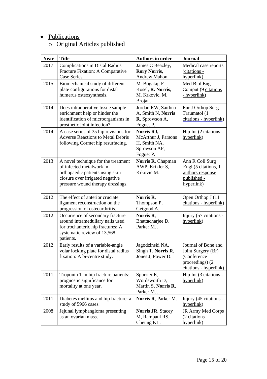# • Publications

# o Original Articles published

| Year | <b>Title</b>                                                                                                                                                               | <b>Authors in order</b>                                                        | <b>Journal</b>                                                                                        |
|------|----------------------------------------------------------------------------------------------------------------------------------------------------------------------------|--------------------------------------------------------------------------------|-------------------------------------------------------------------------------------------------------|
| 2017 | <b>Complications in Distal Radius</b><br>Fracture Fixation: A Comparative<br>Case Series.                                                                                  | James C Beazley,<br><b>Rory Norris,</b><br>Andrew Mahon.                       | Medical case reports<br>(citations -<br>hyperlink)                                                    |
| 2015 | Biomechanical study of different<br>plate configurations for distal<br>humerus osteosynthesis.                                                                             | M. Bogataj, F.<br>Kosel, R. Norris,<br>M. Krkovic, M.<br>Brojan.               | Med Biol Eng<br>Comput (9 citations<br>- hyperlink)                                                   |
| 2014 | Does intraoperative tissue sample<br>enrichment help or hinder the<br>identification of microorganisms in<br>prosthetic joint infection?                                   | Jordan RW, Saithna<br>A, Smith N, Norris<br>R, Sprowson A,<br>Foguet P.        | Eur J Orthop Surg<br>Traumatol (1<br>citations - hyperlink)                                           |
| 2014 | A case series of 35 hip revisions for<br><b>Adverse Reactions to Metal Debris</b><br>following Cormet hip resurfacing.                                                     | Norris RJ,<br>McArthur J, Parsons<br>H, Smith NA,<br>Sprowson AP,<br>Foguet P. | Hip Int (2 citations -<br>hyperlink)                                                                  |
| 2013 | A novel technique for the treatment<br>of infected metalwork in<br>orthopaedic patients using skin<br>closure over irrigated negative<br>pressure wound therapy dressings. | Norris R, Chapman<br>AWP, Krikler S,<br>Krkovic M.                             | Ann R Coll Surg<br>Engl (5 citations, 1<br>authors response<br>published -<br>hyperlink)              |
| 2012 | The effect of anterior cruciate<br>ligament reconstruction on the<br>progression of osteoarthritis.                                                                        | Norris R.<br>Thompson P,<br>Getgood A.                                         | Open Orthop J (11)<br>citations - hyperlink)                                                          |
| 2012 | Occurrence of secondary fracture<br>around intramedullary nails used<br>for trochanteric hip fractures: A<br>systematic review of 13,568<br>patients.                      | Norris R.<br>Bhattacharjee D,<br>Parker MJ.                                    | Injury (57 citations -<br>hyperlink)                                                                  |
| 2012 | Early results of a variable-angle<br>volar locking plate for distal radius<br>fixation: A bi-centre study.                                                                 | Jagodzinski NA,<br>Singh T, Norris R,<br>Jones J, Power D.                     | Journal of Bone and<br>Joint Surgery (Br)<br>(Conference<br>proceedings) (2<br>citations - hyperlink) |
| 2011 | Troponin T in hip fracture patients:<br>prognostic significance for<br>mortality at one year.                                                                              | Spurrier E,<br>Wordsworth D,<br>Martin S, Norris R,<br>Parker MJ.              | Hip Int (3 citations -<br>hyperlink)                                                                  |
| 2011 | Diabetes mellitus and hip fracture: a<br>study of 5966 cases.                                                                                                              | Norris R, Parker M.                                                            | Injury (45 citations -<br>hyperlink)                                                                  |
| 2008 | Jejunal lymphangioma presenting<br>as an ovarian mass.                                                                                                                     | Norris JR, Stacey<br>M, Rampaul RS,<br>Cheung KL.                              | JR Army Med Corps<br>(2 citations<br>hyperlink)                                                       |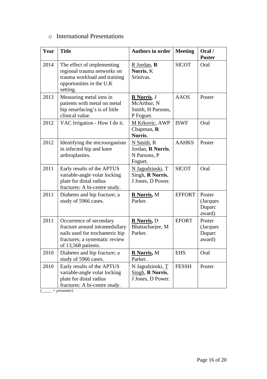# o International Presentations

| Year | <b>Title</b>                                                                                                                                          | <b>Authors in order</b>                                      | <b>Meeting</b> | Oral /<br><b>Poster</b>                |
|------|-------------------------------------------------------------------------------------------------------------------------------------------------------|--------------------------------------------------------------|----------------|----------------------------------------|
| 2014 | The effect of implementing<br>regional trauma networks on<br>trauma workload and training<br>opportunities in the U.K<br>setting.                     | R Jordan, R<br>Norris, K<br>Srinivas.                        | <b>SICOT</b>   | Oral                                   |
| 2013 | Measuring metal ions in<br>patients with metal on metal<br>hip resurfacing's is of little<br>clinical value.                                          | R Norris, J<br>McArthur, N<br>Smith, H Parsons,<br>P Foguet. | <b>AAOS</b>    | Poster                                 |
| 2012 | VAC Irrigation - How I do it.                                                                                                                         | M Krkovic, AWP<br>Chapman, $\bf{R}$<br>Norris.               | <b>ISWF</b>    | Oral                                   |
| 2012 | Identifying the microorganism<br>in infected hip and knee<br>arthroplasties.                                                                          | N Smith, R<br>Jordan, R Norris,<br>N Parsons, P<br>Foguet.   | <b>AAHKS</b>   | Poster                                 |
| 2011 | Early results of the APTUS<br>variable-angle volar locking<br>plate for distal radius<br>fractures: A bi-centre study.                                | N Jagodzinski, T<br>Singh, R Norris,<br>J Jones, D Power.    | <b>SICOT</b>   | Oral                                   |
| 2011 | Diabetes and hip fracture; a<br>study of 5966 cases.                                                                                                  | R Norris, M<br>Parker.                                       | <b>EFFORT</b>  | Poster<br>(Jacques<br>Duparc<br>award) |
| 2011 | Occurrence of secondary<br>fracture around intramedullary<br>nails used for trochanteric hip<br>fractures; a systematic review<br>of 13,568 patients. | <b>R</b> Norris, D<br>Bhattacharjee, M<br>Parker.            | <b>EFORT</b>   | Poster<br>(Jacques<br>Duparc<br>award) |
| 2010 | Diabetes and hip fracture; a<br>study of 5966 cases.                                                                                                  | <b>R</b> Norris, M<br>Parker.                                | <b>EHS</b>     | Oral                                   |
| 2010 | Early results of the APTUS<br>variable-angle volar locking<br>plate for distal radius<br>fractures: A bi-centre study.                                | N Jagodzinski, T<br>Singh, R Norris,<br>J Jones, D Power.    | <b>FESSH</b>   | Poster                                 |

*(\_\_\_\_\_ = presenter)*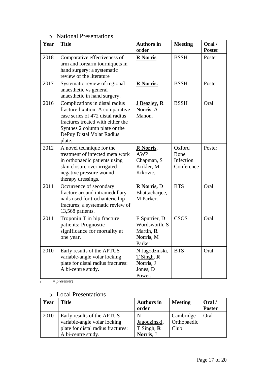# o National Presentations

| Year | <b>Title</b>                                                                                                                                                                                                        | <b>Authors in</b><br>order                                             | <b>Meeting</b>                            | Oral/<br><b>Poster</b> |
|------|---------------------------------------------------------------------------------------------------------------------------------------------------------------------------------------------------------------------|------------------------------------------------------------------------|-------------------------------------------|------------------------|
| 2018 | Comparative effectiveness of<br>arm and forearm tourniquets in<br>hand surgery: a systematic<br>review of the literature                                                                                            | <b>R</b> Norris                                                        | <b>BSSH</b>                               | Poster                 |
| 2017 | Systematic review of regional<br>anaesthetic vs general<br>anaesthetic in hand surgery.                                                                                                                             | <b>R</b> Norris.                                                       | <b>BSSH</b>                               | Poster                 |
| 2016 | Complications in distal radius<br>fracture fixation: A comparative<br>case series of 472 distal radius<br>fractures treated with either the<br>Synthes 2 column plate or the<br>DePuy Distal Volar Radius<br>plate. | J Beazley, R<br>Norris, A<br>Mahon.                                    | <b>BSSH</b>                               | Oral                   |
| 2012 | A novel technique for the<br>treatment of infected metalwork<br>in orthopaedic patients using<br>skin closure over irrigated<br>negative pressure wound<br>therapy dressings.                                       | <b>R</b> Norris,<br><b>AWP</b><br>Chapman, S<br>Krikler, M<br>Krkovic. | Oxford<br>Bone<br>Infection<br>Conference | Poster                 |
| 2011 | Occurrence of secondary<br>fracture around intramedullary<br>nails used for trochanteric hip<br>fractures; a systematic review of<br>13,568 patients.                                                               | <b>R</b> Norris, D<br>Bhattacharjee,<br>M Parker.                      | <b>BTS</b>                                | Oral                   |
| 2011 | Troponin T in hip fracture<br>patients: Prognostic<br>significance for mortality at<br>one year.                                                                                                                    | E Spurrier, D<br>Wordsworth, S<br>Martin, R<br>Norris, M<br>Parker.    | <b>CSOS</b>                               | Oral                   |
| 2010 | Early results of the APTUS<br>variable-angle volar locking<br>plate for distal radius fractures:<br>A bi-centre study.                                                                                              | N Jagodzinski,<br>$T$ Singh, $R$<br>Norris, J<br>Jones, D<br>Power.    | <b>BTS</b>                                | Oral                   |

*(\_\_\_\_\_ = presenter)*

# o Local Presentations

| Year | Title                                                                                                                  | <b>Authors in</b><br>order                  | <b>Meeting</b>                   | Oral /<br><b>Poster</b> |
|------|------------------------------------------------------------------------------------------------------------------------|---------------------------------------------|----------------------------------|-------------------------|
| 2010 | Early results of the APTUS<br>variable-angle volar locking<br>plate for distal radius fractures:<br>A bi-centre study. | Jagodzinski,<br>$T$ Singh, $R$<br>Norris, J | Cambridge<br>Orthopaedic<br>Club | Oral                    |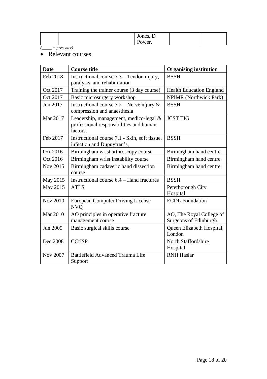|  | $\sim$<br>Jones, D     |  |
|--|------------------------|--|
|  | $\mathbf{D}$<br>Power. |  |

*(\_\_\_\_\_ = presenter)*

# • Relevant courses

| <b>Date</b>     | <b>Course title</b>                                                                          | <b>Organising institution</b>                     |
|-----------------|----------------------------------------------------------------------------------------------|---------------------------------------------------|
| Feb 2018        | Instructional course $7.3$ – Tendon injury,<br>paralysis, and rehabilitation                 | <b>BSSH</b>                                       |
| Oct 2017        | Training the trainer course (3 day course)                                                   | <b>Health Education England</b>                   |
| Oct 2017        | Basic microsurgery workshop                                                                  | <b>NPIMR</b> (Northwick Park)                     |
| Jun 2017        | Instructional course $7.2$ – Nerve injury &<br>compression and anaesthesia                   | <b>BSSH</b>                                       |
| Mar 2017        | Leadership, management, medico-legal &<br>professional responsibilities and human<br>factors | <b>JCST TIG</b>                                   |
| Feb 2017        | Instructional course 7.1 - Skin, soft tissue,<br>infection and Dupuytren's,                  | <b>BSSH</b>                                       |
| Oct 2016        | Birmingham wrist arthroscopy course                                                          | Birmingham hand centre                            |
| Oct 2016        | Birmingham wrist instability course                                                          | Birmingham hand centre                            |
| Nov 2015        | Birmingham cadaveric hand dissection<br>course                                               | Birmingham hand centre                            |
| May 2015        | Instructional course 6.4 – Hand fractures                                                    | <b>BSSH</b>                                       |
| May 2015        | <b>ATLS</b>                                                                                  | Peterborough City<br>Hospital                     |
| <b>Nov 2010</b> | <b>European Computer Driving License</b><br><b>NVQ</b>                                       | <b>ECDL</b> Foundation                            |
| <b>Mar 2010</b> | AO principles in operative fracture<br>management course                                     | AO, The Royal College of<br>Surgeons of Edinburgh |
| Jun 2009        | Basic surgical skills course                                                                 | Queen Elizabeth Hospital,<br>London               |
| Dec 2008        | <b>CCrISP</b>                                                                                | North Staffordshire<br>Hospital                   |
| <b>Nov 2007</b> | Battlefield Advanced Trauma Life<br>Support                                                  | <b>RNH</b> Haslar                                 |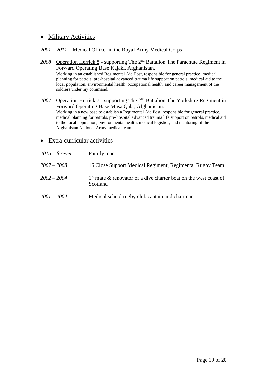# • Military Activities

#### *2001 – 2011* Medical Officer in the Royal Army Medical Corps

- *2008* Operation Herrick 8 supporting The 2nd Battalion The Parachute Regiment in Forward Operating Base Kajaki, Afghanistan. Working in an established Regimental Aid Post, responsible for general practice, medical planning for patrols, pre-hospital advanced trauma life support on patrols, medical aid to the local population, environmental health, occupational health, and career management of the soldiers under my command.
- *2007* Operation Herrick 7 supporting The 2nd Battalion The Yorkshire Regiment in Forward Operating Base Musa Qala, Afghanistan. Working in a new base to establish a Regimental Aid Post, responsible for general practice, medical planning for patrols, pre-hospital advanced trauma life support on patrols, medical aid to the local population, environmental health, medical logistics, and mentoring of the Afghanistan National Army medical team.

#### • Extra-curricular activities

| $2015$ – forever | Family man                                                                     |
|------------------|--------------------------------------------------------------------------------|
| $2007 - 2008$    | 16 Close Support Medical Regiment, Regimental Rugby Team                       |
| $2002 - 2004$    | $1st$ mate & renovator of a dive charter boat on the west coast of<br>Scotland |
| $2001 - 2004$    | Medical school rugby club captain and chairman                                 |